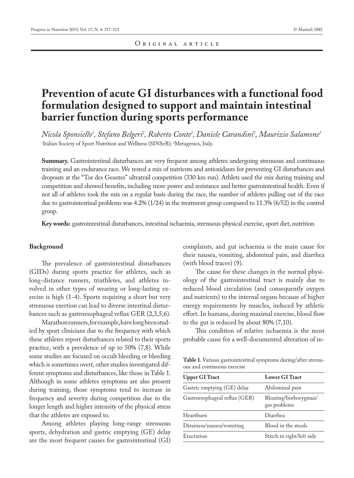# **Prevention of acute GI disturbances with a functional food formulation designed to support and maintain intestinal barrier function during sports performance**

*Nicola Sponsiello1 , Stefano Belgeri2 , Roberto Conte2 , Daniele Carandini2 , Maurizio Salamone2* 1 Italian Society of Sport Nutrition and Wellness (SINSeB); 2 Metagenics, Italy.

**Summary.** Gastrointestinal disturbances are very frequent among athletes undergoing strenuous and continuous training and an endurance race. We tested a mix of nutrients and antioxidants for preventing GI disturbances and dropouts at the "Tor des Geantes" ultratrail competition (330 km run). Athlets used the mix during training and competition and showed benefits, including more power and resistance and better gastrointestinal health. Even if not all of athletes took the mix on a regular basis during the race, the number of athletes pulling out of the race due to gastrointestinal problems was 4.2% (1/24) in the treatment group compared to 11.3% (6/52) in the control group.

**Key words:** gastrointestinal disturbances, intestinal ischaemia, strenuous physical exercise, sport diet, nutrition

## **Background**

The prevalence of gastrointestinal disturbances (GIDs) during sports practice for athletes, such as long-distance runners, triathletes, and athletes involved in other types of wearing or long-lasting exercise is high (1-4). Sports requiring a short but very strenuous exertion can lead to diverse intestinal disturbances such as gastroesophageal reflux GER (2,3,5,6).

Marathon runners, for example, have long been studied by sport clinicians due to the frequency with which these athletes report disturbances related to their sports practice, with a prevalence of up to 50% (7,8). While some studies are focused on occult bleeding or bleeding which is sometimes overt, other studies investigated different symptoms and disturbances, like those in Table 1. Although in some athletes symptoms are also present during training, those symptoms tend to increase in frequency and severity during competition due to the longer length and higher intensity of the physical stress that the athletes are exposed to.

Among athletes playing long-range strenuous sports, dehydration and gastric emptying (GE) delay are the most frequent causes for gastrointestinal (GI) complaints, and gut ischaemia is the main cause for their nausea, vomiting, abdominal pain, and diarrhea (with blood traces) (9).

The cause for these changes in the normal physiology of the gastrointestinal tract is mainly due to reduced blood circulation (and consequently oxygen and nutrients) to the internal organs because of higher energy requirements by muscles, induced by athletic effort. In humans, during maximal exercise, blood flow to the gut is reduced by about 80% (7,10).

This condition of relative ischaemia is the most probable cause for a well-documented alteration of in-

**Table 1**. Various gastrointestinal symptoms during/after strenuous and continuous exercise

| <b>Upper GI Tract</b>         | <b>Lower GI Tract</b>                 |
|-------------------------------|---------------------------------------|
| Gastric emptying (GE) delay   | Abdominal pain                        |
| Gastroesophageal reflux (GER) | Bloating/borborygmus/<br>gas problems |
| Heartburn                     | Diarrhea                              |
| Dizziness/nausea/vomiting     | Blood in the stools                   |
| Eructation                    | Stitch in right/left side             |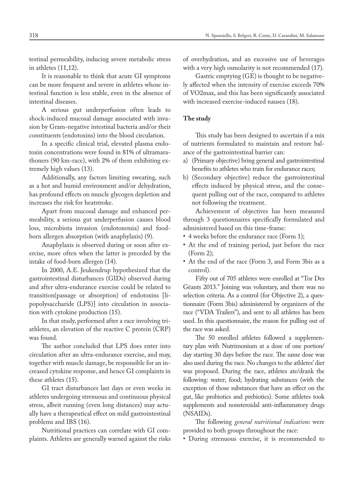testinal permeability, inducing severe metabolic stress in athletes (11,12).

It is reasonable to think that acute GI symptoms can be more frequent and severe in athletes whose intestinal function is less stable, even in the absence of intestinal diseases.

A serious gut underperfusion often leads to shock-induced mucosal damage associated with invasion by Gram-negative intestinal bacteria and/or their constituents (endotoxins) into the blood circulation.

In a specific clinical trial, elevated plasma endotoxin concentrations were found in 81% of ultramarathoners (90 km-race), with 2% of them exhibiting extremely high values (13).

Additionally, any factors limiting sweating, such as a hot and humid environment and/or dehydration, has profound effects on muscle glycogen depletion and increases the risk for heatstroke.

Apart from mucosal damage and enhanced permeability, a serious gut underperfusion causes blood loss, microbiota invasion (endotoxemia) and foodborn allergen absorption (with anaphylaxis) (9).

Anaphylaxis is observed during or soon after exercise, more often when the latter is preceded by the intake of food-born allergen (14).

In 2000, A.E. Jeukendrup hypothesized that the gastrointestinal disturbances (GIDs) observed during and after ultra-endurance exercise could be related to transition(passage or absorption) of endotoxins [lipopolysaccharide (LPS)] into circulation in association with cytokine production (15).

In that study, performed after a race involving triathletes, an elevation of the reactive C protein (CRP) was found.

The author concluded that LPS does enter into circulation after an ultra-endurance exercise, and may, together with muscle damage, be responsible for an increased cytokine response, and hence GI complaints in these athletes (15).

GI tract disturbances last days or even weeks in athletes undergoing strenuous and continuous physical stress, albeit running (even long distances) may actually have a therapeutical effect on mild gastrointestinal problems and IBS (16).

Nutritional practices can correlate with GI complaints. Athletes are generally warned against the risks of overhydration, and an excessive use of beverages with a very high osmolarity is not recommended (17).

Gastric emptying (GE) is thought to be negatively affected when the intensity of exercise exceeds 70% of VO2max, and this has been significantly associated with increased exercise-induced nausea (18).

#### **The study**

This study has been designed to ascertain if a mix of nutrients formulated to maintain and restore balance of the gastrointestinal barrier can:

- a) (Primary objective) bring general and gastrointestinal benefits to athletes who train for endurance races;
- b) (Secondary objective) reduce the gastrointestinal effects induced by physical stress, and the consequent pulling out of the race, compared to athletes not following the treatment.

Achievement of objectives has been measured through 3 questionnaires specifically formulated and administered based on this time-frame:

- 4 weeks before the endurance race (Form 1);
- At the end of training period, just before the race (Form 2);
- At the end of the race (Form 3, and Form 3bis as a control).

Fifty out of 705 athletes were enrolled at "Tor Des Géants 2013." Joining was voluntary, and there was no selection criteria. As a control (for Objective 2), a questionnaire (Form 3bis) administered by organizers of the race ("VDA Trailers"), and sent to all athletes has been used. In this questionnaire, the reason for pulling out of the race was asked.

The 50 enrolled athletes followed a supplementary plan with Nutrimonium at a dose of one portion/ day starting 30 days before the race. The same dose was also used during the race. No changes to the athletes' diet was proposed. During the race, athletes ate/drank the following: water; food; hydrating substances (with the exception of those substances that have an effect on the gut, like probiotics and prebiotics). Some athletes took supplements and nonsteroidal anti-inflammatory drugs (NSAIDs).

The following *general nutritional indications* were provided to both groups throughout the race:

• During strenuous exercise, it is recommended to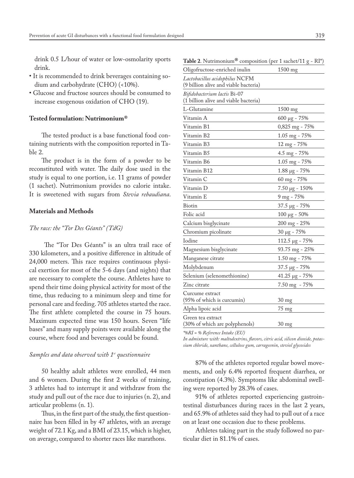drink 0.5 L/hour of water or low-osmolarity sports drink.

- It is recommended to drink beverages containing sodium and carbohydrate (CHO) (<10%).
- Glucose and fructose sources should be consumed to increase exogenous oxidation of CHO (19).

### **Tested formulation: Nutrimonium®**

The tested product is a base functional food containing nutrients with the composition reported in Table 2.

The product is in the form of a powder to be reconstituted with water. The daily dose used in the study is equal to one portion, i.e. 11 grams of powder (1 sachet). Nutrimonium provides no calorie intake. It is sweetened with sugars from *Stevia rebaudiana*.

#### **Materials and Methods**

## *The race: the "Tor Des Géants" (TdG)*

 The "Tor Des Géants" is an ultra trail race of 330 kilometers, and a positive difference in altitude of 24,000 meters. This race requires continuous physical exertion for most of the 5-6 days (and nights) that are necessary to complete the course. Athletes have to spend their time doing physical activity for most of the time, thus reducing to a minimum sleep and time for personal care and feeding. 705 athletes started the race. The first athlete completed the course in 75 hours. Maximum expected time was 150 hours. Seven "life bases" and many supply points were available along the course, where food and beverages could be found.

#### *Samples and data observed with 1st questionnaire*

50 healthy adult athletes were enrolled, 44 men and 6 women. During the first 2 weeks of training, 3 athletes had to interrupt it and withdraw from the study and pull out of the race due to injuries (n. 2), and articular problems (n. 1).

Thus, in the first part of the study, the first questionnaire has been filled in by 47 athletes, with an average weight of 72.1 Kg, and a BMI of 23.15, which is higher, on average, compared to shorter races like marathons.

**Table 2.** Nutrimonium<sup>®</sup> composition (per 1 sachet/11  $g - RI^*$ )

| Oligofructose-enriched inulin         | 1500 mg              |
|---------------------------------------|----------------------|
| Lactobacillus acidophilus NCFM        |                      |
| (9 billion alive and viable bacteria) |                      |
| Bifidobacterium lactis Bi-07          |                      |
| (1 billion alive and viable bacteria) |                      |
| L-Glutamine                           | $1500$ mg            |
| Vitamin A                             | $600 \mu g - 75\%$   |
| Vitamin B1                            | 0,825 mg - 75%       |
| Vitamin B2                            | 1.05 mg - 75%        |
| Vitamin B3                            | 12 mg - 75%          |
| Vitamin B5                            | 4.5 mg - 75%         |
| Vitamin B6                            | 1.05 mg - 75%        |
| Vitamin B12                           | 1.88 µg - 75%        |
| Vitamin C                             | 60 mg - 75%          |
| Vitamin D                             | $7.50 \mu g - 150\%$ |
| Vitamin E                             | $9$ mg - 75%         |
| Biotin                                | 37.5 µg - 75%        |
| Folic acid                            | $100 \mu g - 50\%$   |
| Calcium bisglycinate                  | 200 mg - 25%         |
| Chromium picolinate                   | $30 \mu g - 75\%$    |
| Iodine                                | 112.5 μg - 75%       |
| Magnesium bisglycinate                | 93.75 mg - 25%       |
| Manganese citrate                     | 1.50 mg - 75%        |
| Molybdenum                            | 37.5 µg - 75%        |
| Selenium (selenomethionine)           | 41.25 µg - 75%       |
| Zinc citrate                          | 7.50 mg - 75%        |
| Curcume extract                       |                      |
| (95% of which is curcumin)            | $30 \text{ mg}$      |
| Alpha lipoic acid                     | 75 mg                |
| Green tea extract                     |                      |
| (30% of which are polyphenols)        | $30 \text{ mg}$      |

*\*%RI = % Reference Intake (EU)* 

*In admixture with: maltodextrins, flavors, citric acid, silicon dioxide, potassium chloride, xanthane, cellulose gum, carrageenin, steviol glycosides* 

87% of the athletes reported regular bowel movements, and only 6.4% reported frequent diarrhea, or constipation (4.3%). Symptoms like abdominal swelling were reported by 28.3% of cases.

91% of athletes reported experiencing gastrointestinal disturbances during races in the last 2 years, and 65.9% of athletes said they had to pull out of a race on at least one occasion due to these problems.

Athletes taking part in the study followed no particular diet in 81.1% of cases.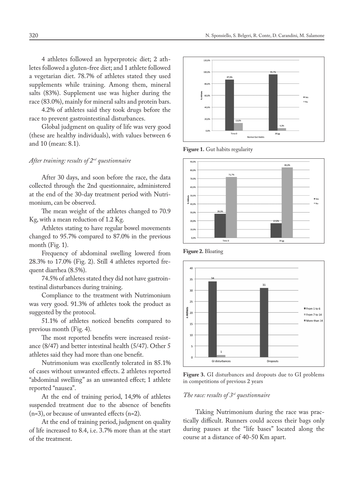4 athletes followed an hyperproteic diet; 2 athletes followed a gluten-free diet; and 1 athlete followed a vegetarian diet. 78.7% of athletes stated they used supplements while training. Among them, mineral salts (83%). Supplement use was higher during the race (83.0%), mainly for mineral salts and protein bars.

4.2% of athletes said they took drugs before the race to prevent gastrointestinal disturbances.

Global judgment on quality of life was very good (these are healthy individuals), with values between 6 and 10 (mean: 8.1).

## *After training: results of 2nd questionnaire*

After 30 days, and soon before the race, the data collected through the 2nd questionnaire, administered at the end of the 30-day treatment period with Nutrimonium, can be observed.

The mean weight of the athletes changed to 70.9 Kg, with a mean reduction of 1.2 Kg.

Athletes stating to have regular bowel movements changed to 95.7% compared to 87.0% in the previous month (Fig. 1).

Frequency of abdominal swelling lowered from 28.3% to 17.0% (Fig. 2). Still 4 athletes reported frequent diarrhea (8.5%).

74.5% of athletes stated they did not have gastrointestinal disturbances during training.

Compliance to the treatment with Nutrimonium was very good. 91.3% of athletes took the product as suggested by the protocol.

51.1% of athletes noticed benefits compared to previous month (Fig. 4).

The most reported benefits were increased resistance (8/47) and better intestinal health (5/47). Other 5 athletes said they had more than one benefit.

Nutrimonium was excellently tolerated in 85.1% of cases without unwanted effects. 2 athletes reported "abdominal swelling" as an unwanted effect; 1 athlete reported "nausea".

At the end of training period, 14,9% of athletes suspended treatment due to the absence of benefits (n=3), or because of unwanted effects (n=2).

At the end of training period, judgment on quality of life increased to 8.4, i.e. 3.7% more than at the start of the treatment.



**Figure 1.** Gut habits regularity



**Figure 2.** Bloating



**Figure 3.** GI disturbances and dropouts due to GI problems in competitions of previous 2 years

#### *The race: results of 3rd questionnaire*

Taking Nutrimonium during the race was practically difficult. Runners could access their bags only during pauses at the "life bases" located along the course at a distance of 40-50 Km apart.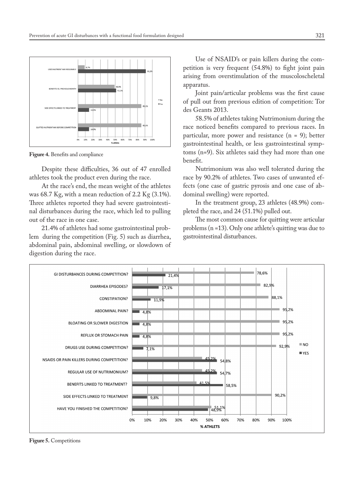

**Figure 4.** Benefits and compliance

Despite these difficulties, 36 out of 47 enrolled athletes took the product even during the race.

At the race's end, the mean weight of the athletes was 68.7 Kg, with a mean reduction of 2.2 Kg (3.1%). Three athletes reported they had severe gastrointestinal disturbances during the race, which led to pulling out of the race in one case.

21.4% of athletes had some gastrointestinal problem during the competition (Fig. 5) such as diarrhea, abdominal pain, abdominal swelling, or slowdown of digestion during the race.

Use of NSAID's or pain killers during the competition is very frequent (54.8%) to fight joint pain arising from overstimulation of the muscoloscheletal apparatus.

Joint pain/articular problems was the first cause of pull out from previous edition of competition: Tor des Geants 2013.

58.5% of athletes taking Nutrimonium during the race noticed benefits compared to previous races. In particular, more power and resistance (n = 9); better gastrointestinal health, or less gastrointestinal symptoms (n=9). Six athletes said they had more than one benefit.

Nutrimonium was also well tolerated during the race by 90.2% of athletes. Two cases of unwanted effects (one case of gastric pyrosis and one case of abdominal swelling) were reported.

In the treatment group, 23 athletes (48.9%) completed the race, and 24 (51.1%) pulled out.

The most common cause for quitting were articular problems (n =13). Only one athlete's quitting was due to gastrointestinal disturbances.



**Figure 5.** Competitions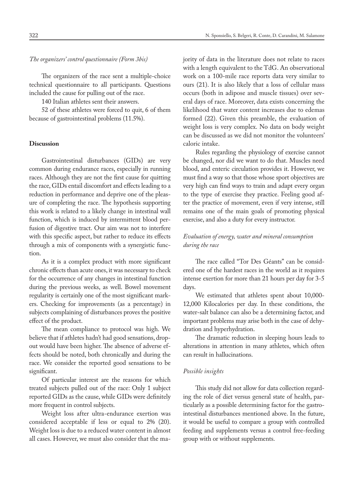*The organizers' control questionnaire (Form 3bis)*

The organizers of the race sent a multiple-choice technical questionnaire to all participants. Questions included the cause for pulling out of the race.

140 Italian athletes sent their answers.

52 of these athletes were forced to quit, 6 of them because of gastrointestinal problems (11.5%).

#### **Discussion**

Gastrointestinal disturbances (GIDs) are very common during endurance races, especially in running races. Although they are not the first cause for quitting the race, GIDs entail discomfort and effects leading to a reduction in performance and deprive one of the pleasure of completing the race. The hypothesis supporting this work is related to a likely change in intestinal wall function, which is induced by intermittent blood perfusion of digestive tract. Our aim was not to interfere with this specific aspect, but rather to reduce its effects through a mix of components with a synergistic function.

As it is a complex product with more significant chronic effects than acute ones, it was necessary to check for the occurrence of any changes in intestinal function during the previous weeks, as well. Bowel movement regularity is certainly one of the most significant markers. Checking for improvements (as a percentage) in subjects complaining of disturbances proves the positive effect of the product.

The mean compliance to protocol was high. We believe that if athletes hadn't had good sensations, dropout would have been higher. The absence of adverse effects should be noted, both chronically and during the race. We consider the reported good sensations to be significant.

Of particular interest are the reasons for which treated subjects pulled out of the race: Only 1 subject reported GIDs as the cause, while GIDs were definitely more frequent in control subjects.

Weight loss after ultra-endurance exertion was considered acceptable if less or equal to 2% (20). Weight loss is due to a reduced water content in almost all cases. However, we must also consider that the majority of data in the literature does not relate to races with a length equivalent to the TdG. An observational work on a 100-mile race reports data very similar to ours (21). It is also likely that a loss of cellular mass occurs (both in adipose and muscle tissues) over several days of race. Moreover, data exists concerning the likelihood that water content increases due to edemas formed (22). Given this preamble, the evaluation of weight loss is very complex. No data on body weight can be discussed as we did not monitor the volunteers' caloric intake.

Rules regarding the physiology of exercise cannot be changed, nor did we want to do that. Muscles need blood, and enteric circulation provides it. However, we must find a way so that those whose sport objectives are very high can find ways to train and adapt every organ to the type of exercise they practice. Feeling good after the practice of movement, even if very intense, still remains one of the main goals of promoting physical exercise, and also a duty for every instructor.

# *Evaluation of energy, water and mineral consumption during the race*

The race called "Tor Des Géants" can be considered one of the hardest races in the world as it requires intense exertion for more than 21 hours per day for 3-5 days.

We estimated that athletes spent about 10,000- 12,000 Kilocalories per day. In these conditions, the water-salt balance can also be a determining factor, and important problems may arise both in the case of dehydration and hyperhydration.

The dramatic reduction in sleeping hours leads to alterations in attention in many athletes, which often can result in hallucinations.

## *Possible insights*

This study did not allow for data collection regarding the role of diet versus general state of health, particularly as a possible determining factor for the gastrointestinal disturbances mentioned above. In the future, it would be useful to compare a group with controlled feeding and supplements versus a control free-feeding group with or without supplements.